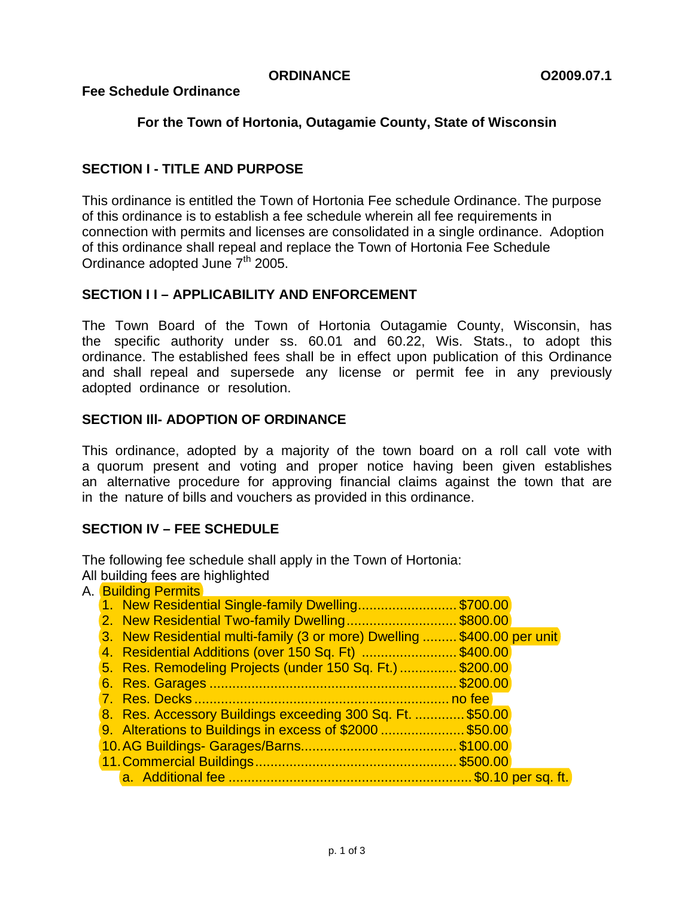#### **Fee Schedule Ordinance**

## **For the Town of Hortonia, Outagamie County, State of Wisconsin**

### **SECTION I - TITLE AND PURPOSE**

This ordinance is entitled the Town of Hortonia Fee schedule Ordinance. The purpose of this ordinance is to establish a fee schedule wherein all fee requirements in connection with permits and licenses are consolidated in a single ordinance. Adoption of this ordinance shall repeal and replace the Town of Hortonia Fee Schedule Ordinance adopted June  $7<sup>th</sup>$  2005.

## **SECTION I I – APPLICABILITY AND ENFORCEMENT**

The Town Board of the Town of Hortonia Outagamie County, Wisconsin, has the specific authority under ss. 60.01 and 60.22, Wis. Stats., to adopt this ordinance. The established fees shall be in effect upon publication of this Ordinance and shall repeal and supersede any license or permit fee in any previously adopted ordinance or resolution.

### **SECTION Ill- ADOPTION OF ORDINANCE**

This ordinance, adopted by a majority of the town board on a roll call vote with a quorum present and voting and proper notice having been given establishes an alternative procedure for approving financial claims against the town that are in the nature of bills and vouchers as provided in this ordinance.

### **SECTION IV – FEE SCHEDULE**

The following fee schedule shall apply in the Town of Hortonia:

All building fees are highlighted

#### A. Building Permits

|  | <u>anan'ny : viirinto metal</u>                                         |  |
|--|-------------------------------------------------------------------------|--|
|  | 1. New Residential Single-family Dwelling\$700.00                       |  |
|  | 2. New Residential Two-family Dwelling\$800.00                          |  |
|  | 3. New Residential multi-family (3 or more) Dwelling  \$400.00 per unit |  |
|  | 4. Residential Additions (over 150 Sq. Ft) \$400.00                     |  |
|  | 5. Res. Remodeling Projects (under 150 Sq. Ft.)  \$200.00               |  |
|  |                                                                         |  |
|  |                                                                         |  |
|  | 8. Res. Accessory Buildings exceeding 300 Sq. Ft.  \$50.00              |  |
|  | 9. Alterations to Buildings in excess of \$2000 \$50.00                 |  |
|  |                                                                         |  |
|  |                                                                         |  |
|  |                                                                         |  |
|  |                                                                         |  |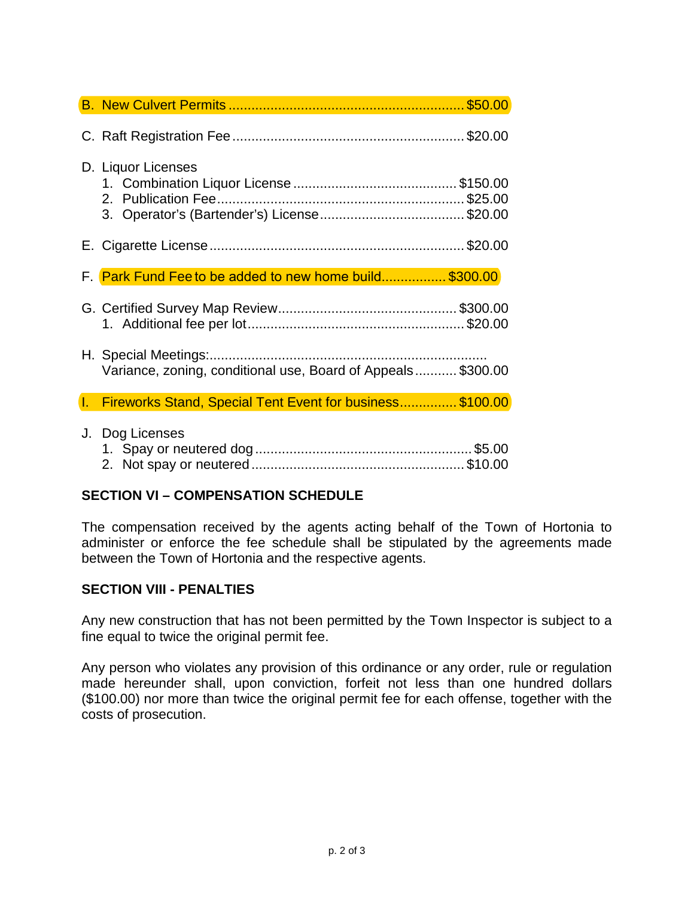| D. Liquor Licenses                                           |
|--------------------------------------------------------------|
|                                                              |
| F. Park Fund Fee to be added to new home build\$300.00       |
|                                                              |
| Variance, zoning, conditional use, Board of Appeals \$300.00 |
| I. Fireworks Stand, Special Tent Event for business\$100.00  |
| J. Dog Licenses                                              |

# **SECTION VI – COMPENSATION SCHEDULE**

The compensation received by the agents acting behalf of the Town of Hortonia to administer or enforce the fee schedule shall be stipulated by the agreements made between the Town of Hortonia and the respective agents.

# **SECTION VIII - PENALTIES**

Any new construction that has not been permitted by the Town Inspector is subject to a fine equal to twice the original permit fee.

Any person who violates any provision of this ordinance or any order, rule or regulation made hereunder shall, upon conviction, forfeit not less than one hundred dollars (\$100.00) nor more than twice the original permit fee for each offense, together with the costs of prosecution.